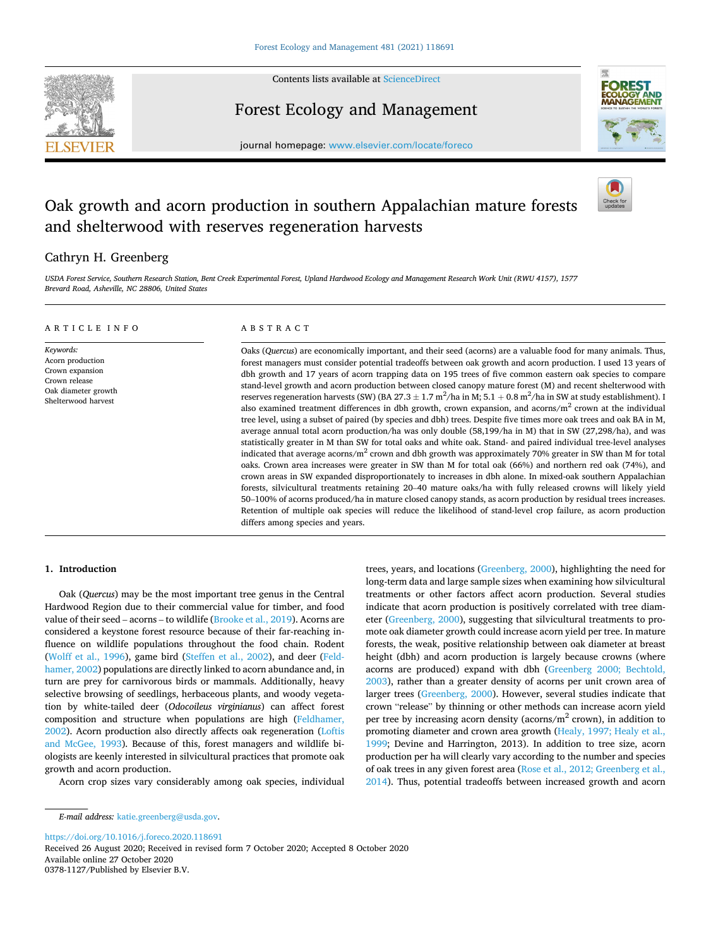

Contents lists available at [ScienceDirect](www.sciencedirect.com/science/journal/03781127)

Forest Ecology and Management



journal homepage: [www.elsevier.com/locate/foreco](https://www.elsevier.com/locate/foreco)

# Oak growth and acorn production in southern Appalachian mature forests and shelterwood with reserves regeneration harvests

# Cathryn H. Greenberg

*USDA Forest Service, Southern Research Station, Bent Creek Experimental Forest, Upland Hardwood Ecology and Management Research Work Unit (RWU 4157), 1577 Brevard Road, Asheville, NC 28806, United States* 

| ARTICLE INFO                                                                                                    | ABSTRACT                                                                                                                                                                                                                                                                                                                                                                                                                                                                                                                                                                                                                                                                                                                                                                                                                                                                                                                                                                                                                                                                                                                                                                                                                                                                                                                                                                                                                                                                                                                                                                                                                                                                                                                                                                                                                 |  |  |  |  |
|-----------------------------------------------------------------------------------------------------------------|--------------------------------------------------------------------------------------------------------------------------------------------------------------------------------------------------------------------------------------------------------------------------------------------------------------------------------------------------------------------------------------------------------------------------------------------------------------------------------------------------------------------------------------------------------------------------------------------------------------------------------------------------------------------------------------------------------------------------------------------------------------------------------------------------------------------------------------------------------------------------------------------------------------------------------------------------------------------------------------------------------------------------------------------------------------------------------------------------------------------------------------------------------------------------------------------------------------------------------------------------------------------------------------------------------------------------------------------------------------------------------------------------------------------------------------------------------------------------------------------------------------------------------------------------------------------------------------------------------------------------------------------------------------------------------------------------------------------------------------------------------------------------------------------------------------------------|--|--|--|--|
| Keywords:<br>Acorn production<br>Crown expansion<br>Crown release<br>Oak diameter growth<br>Shelterwood harvest | Oaks (Quercus) are economically important, and their seed (acorns) are a valuable food for many animals. Thus,<br>forest managers must consider potential tradeoffs between oak growth and acorn production. I used 13 years of<br>dbh growth and 17 years of acorn trapping data on 195 trees of five common eastern oak species to compare<br>stand-level growth and acorn production between closed canopy mature forest (M) and recent shelterwood with<br>reserves regeneration harvests (SW) (BA 27.3 $\pm$ 1.7 m <sup>2</sup> /ha in M; 5.1 + 0.8 m <sup>2</sup> /ha in SW at study establishment). I<br>also examined treatment differences in dbh growth, crown expansion, and acorns/ $m2$ crown at the individual<br>tree level, using a subset of paired (by species and dbh) trees. Despite five times more oak trees and oak BA in M,<br>average annual total acorn production/ha was only double (58,199/ha in M) that in SW (27,298/ha), and was<br>statistically greater in M than SW for total oaks and white oak. Stand- and paired individual tree-level analyses<br>indicated that average acorns/ $m2$ crown and dbh growth was approximately 70% greater in SW than M for total<br>oaks. Crown area increases were greater in SW than M for total oak (66%) and northern red oak (74%), and<br>crown areas in SW expanded disproportionately to increases in dbh alone. In mixed-oak southern Appalachian<br>forests, silvicultural treatments retaining 20–40 mature oaks/ha with fully released crowns will likely yield<br>50–100% of acorns produced/ha in mature closed canopy stands, as acorn production by residual trees increases.<br>Retention of multiple oak species will reduce the likelihood of stand-level crop failure, as acorn production<br>differs among species and years. |  |  |  |  |

# **1. Introduction**

Oak (*Quercus*) may be the most important tree genus in the Central Hardwood Region due to their commercial value for timber, and food value of their seed – acorns – to wildlife [\(Brooke et al., 2019\)](#page-6-0). Acorns are considered a keystone forest resource because of their far-reaching influence on wildlife populations throughout the food chain. Rodent ([Wolff et al., 1996\)](#page-6-0), game bird ([Steffen et al., 2002\)](#page-6-0), and deer [\(Feld](#page-6-0)[hamer, 2002\)](#page-6-0) populations are directly linked to acorn abundance and, in turn are prey for carnivorous birds or mammals. Additionally, heavy selective browsing of seedlings, herbaceous plants, and woody vegetation by white-tailed deer (*Odocoileus virginianus*) can affect forest composition and structure when populations are high ([Feldhamer,](#page-6-0)  [2002\)](#page-6-0). Acorn production also directly affects oak regeneration [\(Loftis](#page-6-0)  [and McGee, 1993](#page-6-0)). Because of this, forest managers and wildlife biologists are keenly interested in silvicultural practices that promote oak growth and acorn production.

Acorn crop sizes vary considerably among oak species, individual

trees, years, and locations [\(Greenberg, 2000](#page-6-0)), highlighting the need for long-term data and large sample sizes when examining how silvicultural treatments or other factors affect acorn production. Several studies indicate that acorn production is positively correlated with tree diameter ([Greenberg, 2000](#page-6-0)), suggesting that silvicultural treatments to promote oak diameter growth could increase acorn yield per tree. In mature forests, the weak, positive relationship between oak diameter at breast height (dbh) and acorn production is largely because crowns (where acorns are produced) expand with dbh [\(Greenberg 2000; Bechtold,](#page-6-0)  [2003\)](#page-6-0), rather than a greater density of acorns per unit crown area of larger trees ([Greenberg, 2000\)](#page-6-0). However, several studies indicate that crown "release" by thinning or other methods can increase acorn yield per tree by increasing acorn density (acorns/ $m<sup>2</sup>$  crown), in addition to promoting diameter and crown area growth [\(Healy, 1997; Healy et al.,](#page-6-0)  [1999;](#page-6-0) Devine and Harrington, 2013). In addition to tree size, acorn production per ha will clearly vary according to the number and species of oak trees in any given forest area ([Rose et al., 2012; Greenberg et al.,](#page-6-0)  [2014\)](#page-6-0). Thus, potential tradeoffs between increased growth and acorn

<https://doi.org/10.1016/j.foreco.2020.118691>

Available online 27 October 2020 0378-1127/Published by Elsevier B.V. Received 26 August 2020; Received in revised form 7 October 2020; Accepted 8 October 2020

*E-mail address:* [katie.greenberg@usda.gov](mailto:katie.greenberg@usda.gov).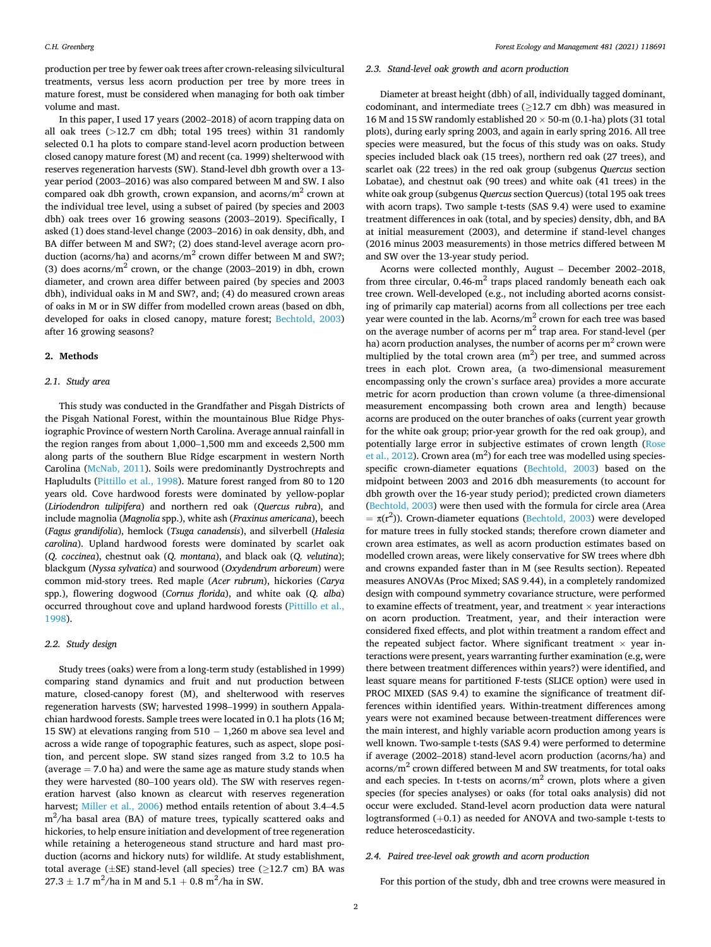production per tree by fewer oak trees after crown-releasing silvicultural treatments, versus less acorn production per tree by more trees in mature forest, must be considered when managing for both oak timber volume and mast.

In this paper, I used 17 years (2002–2018) of acorn trapping data on all oak trees (*>*12.7 cm dbh; total 195 trees) within 31 randomly selected 0.1 ha plots to compare stand-level acorn production between closed canopy mature forest (M) and recent (ca. 1999) shelterwood with reserves regeneration harvests (SW). Stand-level dbh growth over a 13 year period (2003–2016) was also compared between M and SW. I also compared oak dbh growth, crown expansion, and  $\arccos/m^2$  crown at the individual tree level, using a subset of paired (by species and 2003 dbh) oak trees over 16 growing seasons (2003–2019). Specifically, I asked (1) does stand-level change (2003–2016) in oak density, dbh, and BA differ between M and SW?; (2) does stand-level average acorn production (acorns/ha) and acorns/ $m<sup>2</sup>$  crown differ between M and SW?; (3) does acorns/ $m^2$  crown, or the change (2003–2019) in dbh, crown diameter, and crown area differ between paired (by species and 2003 dbh), individual oaks in M and SW?, and; (4) do measured crown areas of oaks in M or in SW differ from modelled crown areas (based on dbh, developed for oaks in closed canopy, mature forest; [Bechtold, 2003\)](#page-6-0) after 16 growing seasons?

# **2. Methods**

# *2.1. Study area*

This study was conducted in the Grandfather and Pisgah Districts of the Pisgah National Forest, within the mountainous Blue Ridge Physiographic Province of western North Carolina. Average annual rainfall in the region ranges from about 1,000–1,500 mm and exceeds 2,500 mm along parts of the southern Blue Ridge escarpment in western North Carolina [\(McNab, 2011](#page-6-0)). Soils were predominantly Dystrochrepts and Hapludults ([Pittillo et al., 1998](#page-6-0)). Mature forest ranged from 80 to 120 years old. Cove hardwood forests were dominated by yellow-poplar (*Liriodendron tulipifera*) and northern red oak (*Quercus rubra*), and include magnolia (*Magnolia* spp.), white ash (*Fraxinus americana*), beech (*Fagus grandifolia*), hemlock (*Tsuga canadensis*), and silverbell (*Halesia carolina*). Upland hardwood forests were dominated by scarlet oak (*Q. coccinea*), chestnut oak (*Q. montana*), and black oak (*Q. velutina*); blackgum (*Nyssa sylvatica*) and sourwood (*Oxydendrum arboreum*) were common mid-story trees. Red maple (*Acer rubrum*), hickories (*Carya*  spp.), flowering dogwood (*Cornus florida*), and white oak (*Q. alba*) occurred throughout cove and upland hardwood forests ([Pittillo et al.,](#page-6-0)  [1998\)](#page-6-0).

## *2.2. Study design*

Study trees (oaks) were from a long-term study (established in 1999) comparing stand dynamics and fruit and nut production between mature, closed-canopy forest (M), and shelterwood with reserves regeneration harvests (SW; harvested 1998–1999) in southern Appalachian hardwood forests. Sample trees were located in 0.1 ha plots (16 M; 15 SW) at elevations ranging from 510 − 1,260 m above sea level and across a wide range of topographic features, such as aspect, slope position, and percent slope. SW stand sizes ranged from 3.2 to 10.5 ha (average  $= 7.0$  ha) and were the same age as mature study stands when they were harvested (80–100 years old). The SW with reserves regeneration harvest (also known as clearcut with reserves regeneration harvest; [Miller et al., 2006](#page-6-0)) method entails retention of about 3.4–4.5  $m^2/h$ a basal area (BA) of mature trees, typically scattered oaks and hickories, to help ensure initiation and development of tree regeneration while retaining a heterogeneous stand structure and hard mast production (acorns and hickory nuts) for wildlife. At study establishment, total average ( $\pm$ SE) stand-level (all species) tree ( $\geq$ 12.7 cm) BA was  $27.3 \pm 1.7 \text{ m}^2/\text{ha}$  in M and  $5.1 + 0.8 \text{ m}^2/\text{ha}$  in SW.

# *2.3. Stand-level oak growth and acorn production*

Diameter at breast height (dbh) of all, individually tagged dominant, codominant, and intermediate trees ( $\geq$ 12.7 cm dbh) was measured in 16 M and 15 SW randomly established  $20 \times 50$ -m (0.1-ha) plots (31 total plots), during early spring 2003, and again in early spring 2016. All tree species were measured, but the focus of this study was on oaks. Study species included black oak (15 trees), northern red oak (27 trees), and scarlet oak (22 trees) in the red oak group (subgenus *Quercus* section Lobatae), and chestnut oak (90 trees) and white oak (41 trees) in the white oak group (subgenus *Quercus* section Quercus) (total 195 oak trees with acorn traps). Two sample t-tests (SAS 9.4) were used to examine treatment differences in oak (total, and by species) density, dbh, and BA at initial measurement (2003), and determine if stand-level changes (2016 minus 2003 measurements) in those metrics differed between M and SW over the 13-year study period.

Acorns were collected monthly, August – December 2002–2018, from three circular,  $0.46 \cdot m^2$  traps placed randomly beneath each oak tree crown. Well-developed (e.g., not including aborted acorns consisting of primarily cap material) acorns from all collections per tree each year were counted in the lab. Acorns/ $m<sup>2</sup>$  crown for each tree was based on the average number of acorns per  $m<sup>2</sup>$  trap area. For stand-level (per ha) acorn production analyses, the number of acorns per  $m<sup>2</sup>$  crown were multiplied by the total crown area  $(m^2)$  per tree, and summed across trees in each plot. Crown area, (a two-dimensional measurement encompassing only the crown's surface area) provides a more accurate metric for acorn production than crown volume (a three-dimensional measurement encompassing both crown area and length) because acorns are produced on the outer branches of oaks (current year growth for the white oak group; prior-year growth for the red oak group), and potentially large error in subjective estimates of crown length [\(Rose](#page-6-0)  [et al., 2012](#page-6-0)). Crown area  $(m^2)$  for each tree was modelled using speciesspecific crown-diameter equations ([Bechtold, 2003](#page-6-0)) based on the midpoint between 2003 and 2016 dbh measurements (to account for dbh growth over the 16-year study period); predicted crown diameters ([Bechtold, 2003](#page-6-0)) were then used with the formula for circle area (Area  $= \pi(r^2)$ ). Crown-diameter equations [\(Bechtold, 2003](#page-6-0)) were developed for mature trees in fully stocked stands; therefore crown diameter and crown area estimates, as well as acorn production estimates based on modelled crown areas, were likely conservative for SW trees where dbh and crowns expanded faster than in M (see Results section). Repeated measures ANOVAs (Proc Mixed; SAS 9.44), in a completely randomized design with compound symmetry covariance structure, were performed to examine effects of treatment, year, and treatment  $\times$  year interactions on acorn production. Treatment, year, and their interaction were considered fixed effects, and plot within treatment a random effect and the repeated subject factor. Where significant treatment  $\times$  year interactions were present, years warranting further examination (e.g, were there between treatment differences within years?) were identified, and least square means for partitioned F-tests (SLICE option) were used in PROC MIXED (SAS 9.4) to examine the significance of treatment differences within identified years. Within-treatment differences among years were not examined because between-treatment differences were the main interest, and highly variable acorn production among years is well known. Two-sample t-tests (SAS 9.4) were performed to determine if average (2002–2018) stand-level acorn production (acorns/ha) and  $acorns/m<sup>2</sup>$  crown differed between M and SW treatments, for total oaks and each species. In t-tests on acorns/ $m<sup>2</sup>$  crown, plots where a given species (for species analyses) or oaks (for total oaks analysis) did not occur were excluded. Stand-level acorn production data were natural logtransformed (+0.1) as needed for ANOVA and two-sample t-tests to reduce heteroscedasticity.

# *2.4. Paired tree-level oak growth and acorn production*

For this portion of the study, dbh and tree crowns were measured in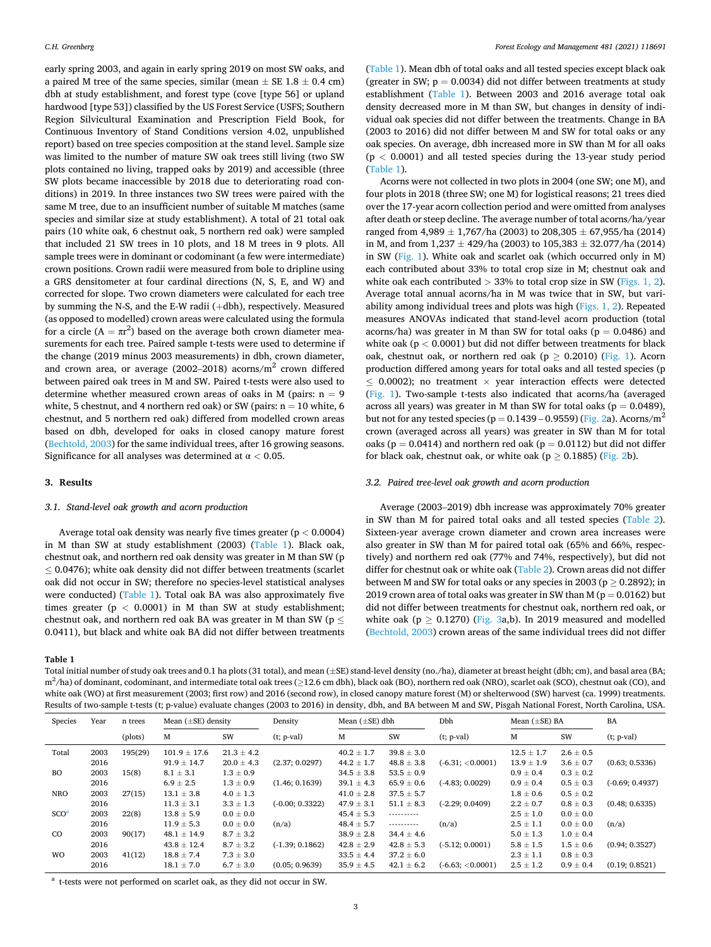early spring 2003, and again in early spring 2019 on most SW oaks, and a paired M tree of the same species, similar (mean  $\pm$  SE 1.8  $\pm$  0.4 cm) dbh at study establishment, and forest type (cove [type 56] or upland hardwood [type 53]) classified by the US Forest Service (USFS; Southern Region Silvicultural Examination and Prescription Field Book, for Continuous Inventory of Stand Conditions version 4.02, unpublished report) based on tree species composition at the stand level. Sample size was limited to the number of mature SW oak trees still living (two SW plots contained no living, trapped oaks by 2019) and accessible (three SW plots became inaccessible by 2018 due to deteriorating road conditions) in 2019. In three instances two SW trees were paired with the same M tree, due to an insufficient number of suitable M matches (same species and similar size at study establishment). A total of 21 total oak pairs (10 white oak, 6 chestnut oak, 5 northern red oak) were sampled that included 21 SW trees in 10 plots, and 18 M trees in 9 plots. All sample trees were in dominant or codominant (a few were intermediate) crown positions. Crown radii were measured from bole to dripline using a GRS densitometer at four cardinal directions (N, S, E, and W) and corrected for slope. Two crown diameters were calculated for each tree by summing the N-S, and the E-W radii (+dbh), respectively. Measured (as opposed to modelled) crown areas were calculated using the formula for a circle  $(A = \pi r^2)$  based on the average both crown diameter measurements for each tree. Paired sample t-tests were used to determine if the change (2019 minus 2003 measurements) in dbh, crown diameter, and crown area, or average (2002–2018) acorns/ $m<sup>2</sup>$  crown differed between paired oak trees in M and SW. Paired t-tests were also used to determine whether measured crown areas of oaks in M (pairs:  $n = 9$ white, 5 chestnut, and 4 northern red oak) or SW (pairs:  $n = 10$  white, 6 chestnut, and 5 northern red oak) differed from modelled crown areas based on dbh, developed for oaks in closed canopy mature forest ([Bechtold, 2003](#page-6-0)) for the same individual trees, after 16 growing seasons. Significance for all analyses was determined at α *<* 0.05.

# **3. Results**

#### *3.1. Stand-level oak growth and acorn production*

Average total oak density was nearly five times greater (p *<* 0.0004) in M than SW at study establishment (2003) (Table 1). Black oak, chestnut oak, and northern red oak density was greater in M than SW (p  $\leq$  0.0476); white oak density did not differ between treatments (scarlet oak did not occur in SW; therefore no species-level statistical analyses were conducted) (Table 1). Total oak BA was also approximately five times greater (p *<* 0.0001) in M than SW at study establishment; chestnut oak, and northern red oak BA was greater in M than SW ( $p \leq$ 0.0411), but black and white oak BA did not differ between treatments

#### **Table 1**

Total initial number of study oak trees and 0.1 ha plots (31 total), and mean (±SE) stand-level density (no./ha), diameter at breast height (dbh; cm), and basal area (BA; m<sup>2</sup>/ha) of dominant, codominant, and intermediate total oak trees ( $\geq$ 12.6 cm dbh), black oak (BO), northern red oak (NRO), scarlet oak (SCO), chestnut oak (CO), and white oak (WO) at first measurement (2003; first row) and 2016 (second row), in closed canopy mature forest (M) or shelterwood (SW) harvest (ca. 1999) treatments. Results of two-sample t-tests (t; p-value) evaluate changes (2003 to 2016) in density, dbh, and BA between M and SW, Pisgah National Forest, North Carolina, USA.

| Species<br>Year  |      | n trees | Mean $(\pm SE)$ density |                | Density           | Mean $(\pm SE)$ dbh |                | Dbh                 | Mean $(\pm SE)$ BA |               | BA                |
|------------------|------|---------|-------------------------|----------------|-------------------|---------------------|----------------|---------------------|--------------------|---------------|-------------------|
|                  |      | (plots) | М                       | SW             | $(t; p-value)$    | М                   | SW             | $(t; p-value)$      | М                  | SW            | $(t; p-value)$    |
| Total            | 2003 | 195(29) | $101.9 \pm 17.6$        | $21.3 \pm 4.2$ |                   | $40.2 \pm 1.7$      | $39.8 \pm 3.0$ |                     | $12.5 \pm 1.7$     | $2.6 \pm 0.5$ |                   |
|                  | 2016 |         | $91.9 \pm 14.7$         | $20.0 \pm 4.3$ | (2.37; 0.0297)    | $44.2 \pm 1.7$      | $48.8 \pm 3.8$ | $(-6.31; < 0.0001)$ | $13.9 \pm 1.9$     | $3.6 \pm 0.7$ | (0.63; 0.5336)    |
| <b>BO</b>        | 2003 | 15(8)   | $8.1 \pm 3.1$           | $1.3 \pm 0.9$  |                   | $34.5 \pm 3.8$      | $53.5 \pm 0.9$ |                     | $0.9 \pm 0.4$      | $0.3 \pm 0.2$ |                   |
|                  | 2016 |         | $6.9 \pm 2.5$           | $1.3 \pm 0.9$  | (1.46; 0.1639)    | $39.1 \pm 4.3$      | $65.9 \pm 0.6$ | $(-4.83; 0.0029)$   | $0.9 \pm 0.4$      | $0.5 \pm 0.3$ | $(-0.69; 0.4937)$ |
| <b>NRO</b>       | 2003 | 27(15)  | $13.1 \pm 3.8$          | $4.0 \pm 1.3$  |                   | $41.0 \pm 2.8$      | $37.5 \pm 5.7$ |                     | $1.8 \pm 0.6$      | $0.5 \pm 0.2$ |                   |
|                  | 2016 |         | $11.3 \pm 3.1$          | $3.3 \pm 1.3$  | $(-0.00; 0.3322)$ | $47.9 \pm 3.1$      | $51.1 \pm 8.3$ | $(-2.29; 0.0409)$   | $2.2 \pm 0.7$      | $0.8 \pm 0.3$ | (0.48; 0.6335)    |
| SCO <sup>a</sup> | 2003 | 22(8)   | $13.8 \pm 5.9$          | $0.0 \pm 0.0$  |                   | $45.4 \pm 5.3$      |                |                     | $2.5 \pm 1.0$      | $0.0 \pm 0.0$ |                   |
|                  | 2016 |         | $11.9 \pm 5.3$          | $0.0 \pm 0.0$  | (n/a)             | $48.4 \pm 5.7$      | ----------     | (n/a)               | $2.5 \pm 1.1$      | $0.0 \pm 0.0$ | (n/a)             |
| CO               | 2003 | 90(17)  | $48.1 \pm 14.9$         | $8.7 \pm 3.2$  |                   | $38.9 \pm 2.8$      | $34.4 \pm 4.6$ |                     | $5.0 \pm 1.3$      | $1.0 \pm 0.4$ |                   |
|                  | 2016 |         | $43.8 \pm 12.4$         | $8.7 \pm 3.2$  | $(-1.39; 0.1862)$ | $42.8 \pm 2.9$      | $42.8 \pm 5.3$ | $(-5.12; 0.0001)$   | $5.8 \pm 1.5$      | $1.5 \pm 0.6$ | (0.94; 0.3527)    |
| <b>WO</b>        | 2003 | 41(12)  | $18.8 \pm 7.4$          | $7.3 \pm 3.0$  |                   | $33.5 \pm 4.4$      | $37.2 \pm 6.0$ |                     | $2.3 \pm 1.1$      | $0.8 \pm 0.3$ |                   |
|                  | 2016 |         | $18.1 \pm 7.0$          | $6.7 \pm 3.0$  | (0.05; 0.9639)    | $35.9 \pm 4.5$      | $42.1 \pm 6.2$ | $(-6.63; <0.0001)$  | $2.5 \pm 1.2$      | $0.9 \pm 0.4$ | (0.19; 0.8521)    |

<sup>a</sup> t-tests were not performed on scarlet oak, as they did not occur in SW.

(Table 1). Mean dbh of total oaks and all tested species except black oak (greater in SW;  $p = 0.0034$ ) did not differ between treatments at study establishment (Table 1). Between 2003 and 2016 average total oak density decreased more in M than SW, but changes in density of individual oak species did not differ between the treatments. Change in BA (2003 to 2016) did not differ between M and SW for total oaks or any oak species. On average, dbh increased more in SW than M for all oaks (p *<* 0.0001) and all tested species during the 13-year study period (Table 1).

Acorns were not collected in two plots in 2004 (one SW; one M), and four plots in 2018 (three SW; one M) for logistical reasons; 21 trees died over the 17-year acorn collection period and were omitted from analyses after death or steep decline. The average number of total acorns/ha/year ranged from  $4,989 \pm 1,767/h$ a (2003) to  $208,305 \pm 67,955/h$ a (2014) in M, and from 1,237 ± 429/ha (2003) to 105,383 ± 32.077/ha (2014) in SW ([Fig. 1](#page-3-0)). White oak and scarlet oak (which occurred only in M) each contributed about 33% to total crop size in M; chestnut oak and white oak each contributed  $>$  33% to total crop size in SW [\(Figs. 1, 2](#page-3-0)). Average total annual acorns/ha in M was twice that in SW, but variability among individual trees and plots was high ([Figs. 1, 2\)](#page-3-0). Repeated measures ANOVAs indicated that stand-level acorn production (total acorns/ha) was greater in M than SW for total oaks ( $p = 0.0486$ ) and white oak (p *<* 0.0001) but did not differ between treatments for black oak, chestnut oak, or northern red oak ( $p \ge 0.2010$ ) ([Fig. 1\)](#page-3-0). Acorn production differed among years for total oaks and all tested species (p  $\leq$  0.0002); no treatment  $\times$  year interaction effects were detected ([Fig. 1](#page-3-0)). Two-sample t-tests also indicated that acorns/ha (averaged across all years) was greater in M than SW for total oaks ( $p = 0.0489$ ), but not for any tested species ( $p = 0.1439 - 0.9559$ ) [\(Fig. 2](#page-4-0)a). Acorns/m<sup>2</sup> crown (averaged across all years) was greater in SW than M for total oaks ( $p = 0.0414$ ) and northern red oak ( $p = 0.0112$ ) but did not differ for black oak, chestnut oak, or white oak ( $p \ge 0.1885$ ) ([Fig. 2b](#page-4-0)).

## *3.2. Paired tree-level oak growth and acorn production*

Average (2003–2019) dbh increase was approximately 70% greater in SW than M for paired total oaks and all tested species ([Table 2](#page-4-0)). Sixteen-year average crown diameter and crown area increases were also greater in SW than M for paired total oak (65% and 66%, respectively) and northern red oak (77% and 74%, respectively), but did not differ for chestnut oak or white oak ([Table 2\)](#page-4-0). Crown areas did not differ between M and SW for total oaks or any species in 2003 ( $p \ge 0.2892$ ); in 2019 crown area of total oaks was greater in SW than M ( $p = 0.0162$ ) but did not differ between treatments for chestnut oak, northern red oak, or white oak ( $p \ge 0.1270$ ) ([Fig. 3a](#page-4-0),b). In 2019 measured and modelled ([Bechtold, 2003\)](#page-6-0) crown areas of the same individual trees did not differ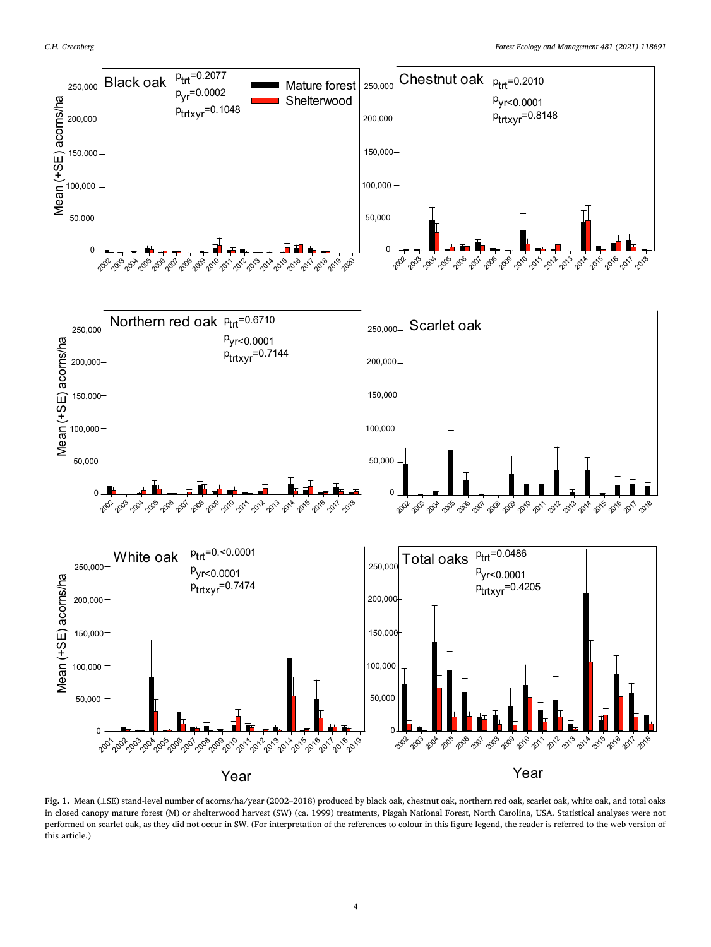<span id="page-3-0"></span>

**Fig. 1.** Mean (±SE) stand-level number of acorns/ha/year (2002–2018) produced by black oak, chestnut oak, northern red oak, scarlet oak, white oak, and total oaks in closed canopy mature forest (M) or shelterwood harvest (SW) (ca. 1999) treatments, Pisgah National Forest, North Carolina, USA. Statistical analyses were not performed on scarlet oak, as they did not occur in SW. (For interpretation of the references to colour in this figure legend, the reader is referred to the web version of this article.)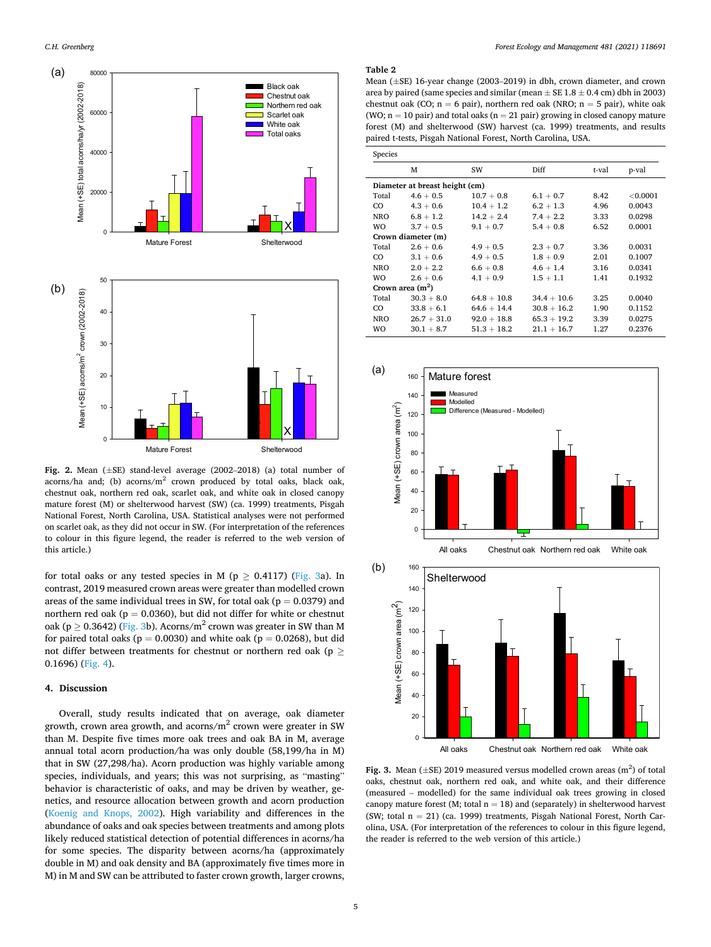<span id="page-4-0"></span>

**Fig. 2.** Mean (±SE) stand-level average (2002–2018) (a) total number of acorns/ha and; (b) acorns/ $m<sup>2</sup>$  crown produced by total oaks, black oak, chestnut oak, northern red oak, scarlet oak, and white oak in closed canopy mature forest (M) or shelterwood harvest (SW) (ca. 1999) treatments, Pisgah National Forest, North Carolina, USA. Statistical analyses were not performed on scarlet oak, as they did not occur in SW. (For interpretation of the references to colour in this figure legend, the reader is referred to the web version of this article.)

for total oaks or any tested species in M ( $p \ge 0.4117$ ) (Fig. 3a). In contrast, 2019 measured crown areas were greater than modelled crown areas of the same individual trees in SW, for total oak ( $p = 0.0379$ ) and northern red oak ( $p = 0.0360$ ), but did not differ for white or chestnut oak (p  $\geq$  0.3642) (Fig. 3b). Acorns/m<sup>2</sup> crown was greater in SW than M for paired total oaks ( $p = 0.0030$ ) and white oak ( $p = 0.0268$ ), but did not differ between treatments for chestnut or northern red oak (p  $\geq$ 0.1696) ([Fig. 4\)](#page-5-0).

# **4. Discussion**

Overall, study results indicated that on average, oak diameter growth, crown area growth, and acorns/ $m<sup>2</sup>$  crown were greater in SW than M. Despite five times more oak trees and oak BA in M, average annual total acorn production/ha was only double (58,199/ha in M) that in SW (27,298/ha). Acorn production was highly variable among species, individuals, and years; this was not surprising, as "masting" behavior is characteristic of oaks, and may be driven by weather, genetics, and resource allocation between growth and acorn production ([Koenig and Knops, 2002](#page-6-0)). High variability and differences in the abundance of oaks and oak species between treatments and among plots likely reduced statistical detection of potential differences in acorns/ha for some species. The disparity between acorns/ha (approximately double in M) and oak density and BA (approximately five times more in M) in M and SW can be attributed to faster crown growth, larger crowns,

# **Table 2**

Mean (±SE) 16-year change (2003–2019) in dbh, crown diameter, and crown area by paired (same species and similar (mean  $\pm$  SE 1.8  $\pm$  0.4 cm) dbh in 2003) chestnut oak (CO;  $n = 6$  pair), northern red oak (NRO;  $n = 5$  pair), white oak (WO;  $n = 10$  pair) and total oaks ( $n = 21$  pair) growing in closed canopy mature forest (M) and shelterwood (SW) harvest (ca. 1999) treatments, and results paired t-tests, Pisgah National Forest, North Carolina, USA.

| <b>Species</b>                 |               |               |               |       |          |  |  |  |  |
|--------------------------------|---------------|---------------|---------------|-------|----------|--|--|--|--|
|                                | M             | SW            | Diff          | t-val | p-val    |  |  |  |  |
| Diameter at breast height (cm) |               |               |               |       |          |  |  |  |  |
| Total                          | $4.6 + 0.5$   | $10.7 + 0.8$  | $6.1 + 0.7$   | 8.42  | < 0.0001 |  |  |  |  |
| CO                             | $4.3 + 0.6$   | $10.4 + 1.2$  | $6.2 + 1.3$   | 4.96  | 0.0043   |  |  |  |  |
| NRO                            | $6.8 + 1.2$   | $14.2 + 2.4$  | $7.4 + 2.2$   | 3.33  | 0.0298   |  |  |  |  |
| <b>WO</b>                      | $3.7 + 0.5$   | $9.1 + 0.7$   | $5.4 + 0.8$   | 6.52  | 0.0001   |  |  |  |  |
| Crown diameter (m)             |               |               |               |       |          |  |  |  |  |
| Total                          | $2.6 + 0.6$   | $4.9 + 0.5$   | $2.3 + 0.7$   | 3.36  | 0.0031   |  |  |  |  |
| CO                             | $3.1 + 0.6$   | $4.9 + 0.5$   | $1.8 + 0.9$   | 2.01  | 0.1007   |  |  |  |  |
| NRO                            | $2.0 + 2.2$   | $6.6 + 0.8$   | $4.6 + 1.4$   | 3.16  | 0.0341   |  |  |  |  |
| <b>WO</b>                      | $2.6 + 0.6$   | $4.1 + 0.9$   | $1.5 + 1.1$   | 1.41  | 0.1932   |  |  |  |  |
| Crown area $(m2)$              |               |               |               |       |          |  |  |  |  |
| Total                          | $30.3 + 8.0$  | $64.8 + 10.8$ | $34.4 + 10.6$ | 3.25  | 0.0040   |  |  |  |  |
| CO                             | $33.8 + 6.1$  | $64.6 + 14.4$ | $30.8 + 16.2$ | 1.90  | 0.1152   |  |  |  |  |
| <b>NRO</b>                     | $26.7 + 31.0$ | $92.0 + 18.8$ | $65.3 + 19.2$ | 3.39  | 0.0275   |  |  |  |  |
| <b>WO</b>                      | $30.1 + 8.7$  | $51.3 + 18.2$ | $21.1 + 16.7$ | 1.27  | 0.2376   |  |  |  |  |



All oaks Chestnut oak Northern red oak White oak

Fig. 3. Mean  $(\pm SE)$  2019 measured versus modelled crown areas  $(m^2)$  of total oaks, chestnut oak, northern red oak, and white oak, and their difference (measured – modelled) for the same individual oak trees growing in closed canopy mature forest (M; total  $n = 18$ ) and (separately) in shelterwood harvest (SW; total n = 21) (ca. 1999) treatments, Pisgah National Forest, North Carolina, USA. (For interpretation of the references to colour in this figure legend, the reader is referred to the web version of this article.)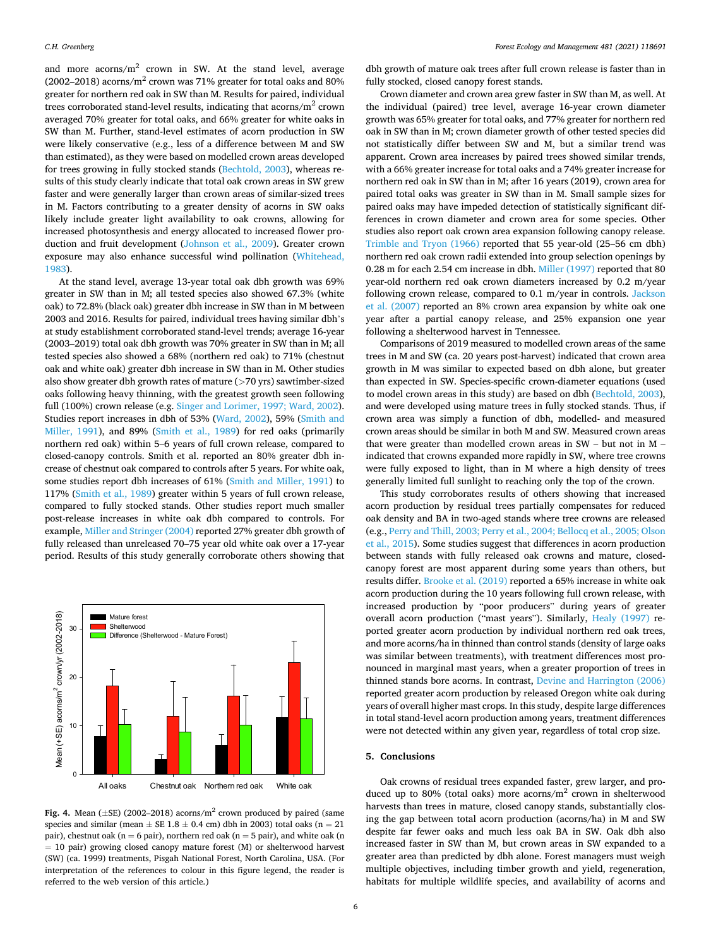<span id="page-5-0"></span>and more acorns/ $m<sup>2</sup>$  crown in SW. At the stand level, average (2002–2018) acorns/ $m^2$  crown was 71% greater for total oaks and 80% greater for northern red oak in SW than M. Results for paired, individual trees corroborated stand-level results, indicating that  $\arccos/m^2$  crown averaged 70% greater for total oaks, and 66% greater for white oaks in SW than M. Further, stand-level estimates of acorn production in SW were likely conservative (e.g., less of a difference between M and SW than estimated), as they were based on modelled crown areas developed for trees growing in fully stocked stands [\(Bechtold, 2003\)](#page-6-0), whereas results of this study clearly indicate that total oak crown areas in SW grew faster and were generally larger than crown areas of similar-sized trees in M. Factors contributing to a greater density of acorns in SW oaks likely include greater light availability to oak crowns, allowing for increased photosynthesis and energy allocated to increased flower production and fruit development [\(Johnson et al., 2009\)](#page-6-0). Greater crown exposure may also enhance successful wind pollination [\(Whitehead,](#page-6-0)  [1983\)](#page-6-0).

At the stand level, average 13-year total oak dbh growth was 69% greater in SW than in M; all tested species also showed 67.3% (white oak) to 72.8% (black oak) greater dbh increase in SW than in M between 2003 and 2016. Results for paired, individual trees having similar dbh's at study establishment corroborated stand-level trends; average 16-year (2003–2019) total oak dbh growth was 70% greater in SW than in M; all tested species also showed a 68% (northern red oak) to 71% (chestnut oak and white oak) greater dbh increase in SW than in M. Other studies also show greater dbh growth rates of mature (*>*70 yrs) sawtimber-sized oaks following heavy thinning, with the greatest growth seen following full (100%) crown release (e.g. [Singer and Lorimer, 1997; Ward, 2002](#page-6-0)). Studies report increases in dbh of 53% [\(Ward, 2002](#page-6-0)), 59% [\(Smith and](#page-6-0)  [Miller, 1991\)](#page-6-0), and 89% ([Smith et al., 1989\)](#page-6-0) for red oaks (primarily northern red oak) within 5–6 years of full crown release, compared to closed-canopy controls. Smith et al. reported an 80% greater dbh increase of chestnut oak compared to controls after 5 years. For white oak, some studies report dbh increases of 61% [\(Smith and Miller, 1991\)](#page-6-0) to 117% [\(Smith et al., 1989](#page-6-0)) greater within 5 years of full crown release, compared to fully stocked stands. Other studies report much smaller post-release increases in white oak dbh compared to controls. For example, [Miller and Stringer \(2004\)](#page-6-0) reported 27% greater dbh growth of fully released than unreleased 70–75 year old white oak over a 17-year period. Results of this study generally corroborate others showing that



**Fig. 4.** Mean (±SE) (2002–2018) acorns/m2 crown produced by paired (same species and similar (mean  $\pm$  SE 1.8  $\pm$  0.4 cm) dbh in 2003) total oaks (n = 21 pair), chestnut oak ( $n = 6$  pair), northern red oak ( $n = 5$  pair), and white oak (n = 10 pair) growing closed canopy mature forest (M) or shelterwood harvest (SW) (ca. 1999) treatments, Pisgah National Forest, North Carolina, USA. (For interpretation of the references to colour in this figure legend, the reader is referred to the web version of this article.)

dbh growth of mature oak trees after full crown release is faster than in fully stocked, closed canopy forest stands.

Crown diameter and crown area grew faster in SW than M, as well. At the individual (paired) tree level, average 16-year crown diameter growth was 65% greater for total oaks, and 77% greater for northern red oak in SW than in M; crown diameter growth of other tested species did not statistically differ between SW and M, but a similar trend was apparent. Crown area increases by paired trees showed similar trends, with a 66% greater increase for total oaks and a 74% greater increase for northern red oak in SW than in M; after 16 years (2019), crown area for paired total oaks was greater in SW than in M. Small sample sizes for paired oaks may have impeded detection of statistically significant differences in crown diameter and crown area for some species. Other studies also report oak crown area expansion following canopy release. [Trimble and Tryon \(1966\)](#page-6-0) reported that 55 year-old (25–56 cm dbh) northern red oak crown radii extended into group selection openings by 0.28 m for each 2.54 cm increase in dbh. [Miller \(1997\)](#page-6-0) reported that 80 year-old northern red oak crown diameters increased by 0.2 m/year following crown release, compared to 0.1 m/year in controls. [Jackson](#page-6-0)  [et al. \(2007\)](#page-6-0) reported an 8% crown area expansion by white oak one year after a partial canopy release, and 25% expansion one year following a shelterwood harvest in Tennessee.

Comparisons of 2019 measured to modelled crown areas of the same trees in M and SW (ca. 20 years post-harvest) indicated that crown area growth in M was similar to expected based on dbh alone, but greater than expected in SW. Species-specific crown-diameter equations (used to model crown areas in this study) are based on dbh [\(Bechtold, 2003](#page-6-0)), and were developed using mature trees in fully stocked stands. Thus, if crown area was simply a function of dbh, modelled- and measured crown areas should be similar in both M and SW. Measured crown areas that were greater than modelled crown areas in SW – but not in M – indicated that crowns expanded more rapidly in SW, where tree crowns were fully exposed to light, than in M where a high density of trees generally limited full sunlight to reaching only the top of the crown.

This study corroborates results of others showing that increased acorn production by residual trees partially compensates for reduced oak density and BA in two-aged stands where tree crowns are released (e.g., [Perry and Thill, 2003; Perry et al., 2004; Bellocq et al., 2005; Olson](#page-6-0)  [et al., 2015\)](#page-6-0). Some studies suggest that differences in acorn production between stands with fully released oak crowns and mature, closedcanopy forest are most apparent during some years than others, but results differ. [Brooke et al. \(2019\)](#page-6-0) reported a 65% increase in white oak acorn production during the 10 years following full crown release, with increased production by "poor producers" during years of greater overall acorn production ("mast years"). Similarly, [Healy \(1997\)](#page-6-0) reported greater acorn production by individual northern red oak trees, and more acorns/ha in thinned than control stands (density of large oaks was similar between treatments), with treatment differences most pronounced in marginal mast years, when a greater proportion of trees in thinned stands bore acorns. In contrast, [Devine and Harrington \(2006\)](#page-6-0)  reported greater acorn production by released Oregon white oak during years of overall higher mast crops. In this study, despite large differences in total stand-level acorn production among years, treatment differences were not detected within any given year, regardless of total crop size.

# **5. Conclusions**

Oak crowns of residual trees expanded faster, grew larger, and produced up to 80% (total oaks) more acorns/ $m<sup>2</sup>$  crown in shelterwood harvests than trees in mature, closed canopy stands, substantially closing the gap between total acorn production (acorns/ha) in M and SW despite far fewer oaks and much less oak BA in SW. Oak dbh also increased faster in SW than M, but crown areas in SW expanded to a greater area than predicted by dbh alone. Forest managers must weigh multiple objectives, including timber growth and yield, regeneration, habitats for multiple wildlife species, and availability of acorns and